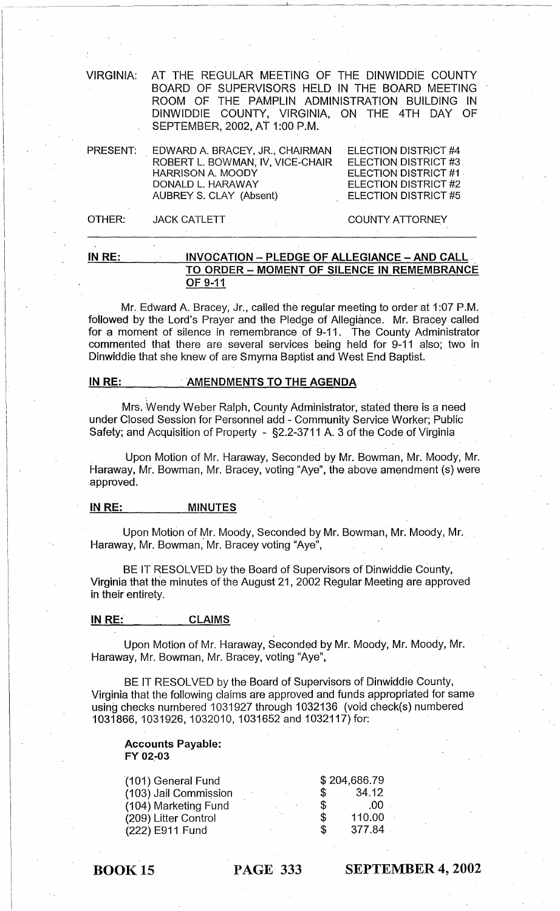| <b>VIRGINIA:</b> | AT THE REGULAR MEETING OF THE DINWIDDIE COUNTY<br>BOARD OF SUPERVISORS HELD IN THE BOARD MEETING<br>ROOM OF THE PAMPLIN ADMINISTRATION BUILDING IN<br>DINWIDDIE COUNTY, VIRGINIA, ON THE 4TH DAY OF<br>SEPTEMBER, 2002, AT 1:00 P.M. |                                                                                                                                    |
|------------------|--------------------------------------------------------------------------------------------------------------------------------------------------------------------------------------------------------------------------------------|------------------------------------------------------------------------------------------------------------------------------------|
| <b>PRESENT:</b>  | EDWARD A. BRACEY, JR., CHAIRMAN<br>ROBERT L. BOWMAN, IV, VICE-CHAIR<br><b>HARRISON A. MOODY</b><br>DONALD L. HARAWAY<br>AUBREY S. CLAY (Absent)                                                                                      | ELECTION DISTRICT #4<br><b>ELECTION DISTRICT #3</b><br><b>ELECTION DISTRICT #1</b><br>ELECTION DISTRICT #2<br>ELECTION DISTRICT #5 |
| OTHER:           | <b>JACK CATLETT</b>                                                                                                                                                                                                                  | <b>COUNTY ATTORNEY</b>                                                                                                             |

IN RE: INVOCATION - PLEDGE OF ALLEGIANCE - AND CALL TO ORDER - MOMENT OF SILENCE IN REMEMBRANCE OF 9-11

Mr. Edward A. Bracey, Jr., called the regular meeting to order at 1 :07 P.M. followed by the Lord's Prayer and the Pledge of Allegiance. Mr. Bracey called for a moment of silence in remembrance of 9-11. The County Administrator commented that there are several services being held for 9-11 also; two in Dinwiddie that she knew of are Smyrna Baptist and West End Baptist.

#### INRE: . AMENDMENTS TO THE AGENDA

Mrs. ·Wendy Weber Ralph, County Administrator, stated there is a need under Closed Session for Personnel add - Community Service Worker; Public Safety; and Acquisition of Property - §2.2-3711 A. 3 of the Code of Virginia

Upon Motion of Mr. Haraway, Seconded by Mr. Bowman, Mr. Moody, Mr. Haraway, Mr. Bowman, Mr. Bracey, voting "Aye", the above amendment (s) were approved.

#### IN RE: MINUTES

Upon Motion of Mr. Moody, Seconded by Mr. Bowman, Mr. Moody, Mr. Haraway, Mr. Bowman, Mr. Bracey voting "Aye",

BE IT RESOLVED by the Board of Supervisors of Dinwiddie County, Virginia that the minutes of the August 21,2002 Regular Meeting are approved in their entirety.

## IN RE: CLAIMS

Upon Motion of Mr. Haraway, Seconded by Mr. Moody, Mr. Moody, Mr. Haraway, Mr. Bowman, Mr. Bracey, voting "Aye",

BE IT RESOLVED by the Board of Supervisors of Dinwiddie County, Virginia that the following Claims are approved and funds appropriated for same using checks numbered 1031927 through 1032136 (void check(s) numbered 1031866,1031926,1032010,1031652 and 1032117) for:

#### Accounts Payable: FY 02.-03

| (101) General Fund    |  |    | \$204,686.79 |
|-----------------------|--|----|--------------|
| (103) Jail Commission |  | S  | 34.12        |
| (104) Marketing Fund  |  | S  | -00          |
| (209) Litter Control  |  | \$ | 110.00       |
| (222) E911 Fund       |  | S  | 377.84       |

BOOK 15 PAGE 333

SEPTEMBER 4, 2002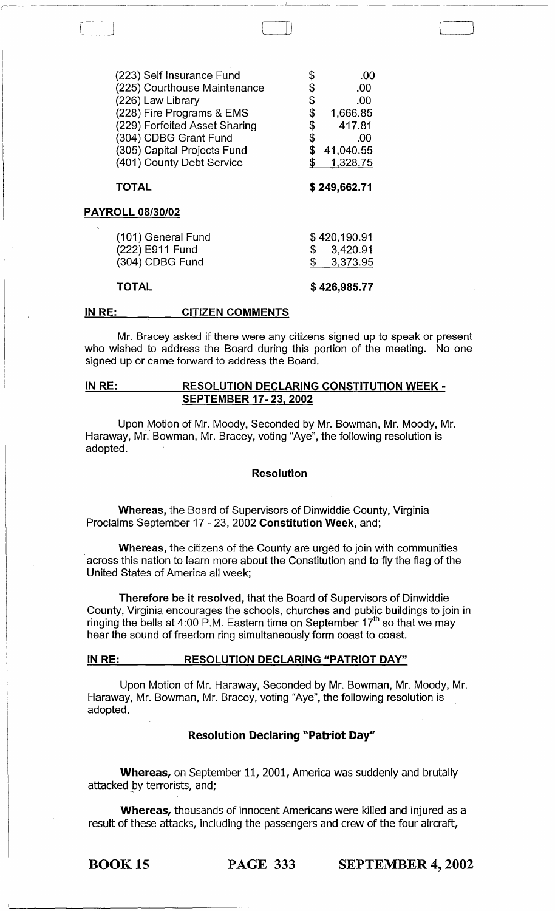| (223) Self Insurance Fund<br>(225) Courthouse Maintenance<br>(226) Law Library<br>(228) Fire Programs & EMS<br>(229) Forfeited Asset Sharing | \$<br>\$<br>\$<br>\$<br>\$ | .00<br>.00<br>.00<br>1,666.85<br>417.81 |
|----------------------------------------------------------------------------------------------------------------------------------------------|----------------------------|-----------------------------------------|
| (304) CDBG Grant Fund                                                                                                                        | \$                         | .00                                     |
| (305) Capital Projects Fund                                                                                                                  | \$                         | 41,040.55                               |
| (401) County Debt Service                                                                                                                    | \$                         | 1,328.75                                |
| <b>TOTAL</b>                                                                                                                                 | \$249,662.71               |                                         |
| <b>PAYROLL 08/30/02</b>                                                                                                                      |                            |                                         |
| (101) General Fund                                                                                                                           |                            | \$420,190.91                            |
| (222) E911 Fund                                                                                                                              | \$                         | 3,420.91                                |
| (304) CDBG Fund                                                                                                                              | \$                         | 3,373.95                                |
| <b>TOTAL</b>                                                                                                                                 |                            | \$426,985.77                            |

## IN RE: \_\_\_\_\_\_ CITIZEN COMMENTS

Mr. Bracey asked if there were any citizens signed up to speak or present who wished to address the Board during this portion of the meeting. No one signed up or came forward to address the Board.

------------ -----------------"--~----~-----------

 $\Box$ 

'------\_J

#### IN RE: RESOLUTION DECLARING CONSTITUTION WEEK - SEPTEMBER 17- 23,2002

Upon Motion of Mr. Moody, Seconded by Mr. Bowman, Mr. Moody, Mr. Haraway, Mr. Bowman, Mr. Bracey, voting "Aye", the following resolution is adopted.

#### Resolution

Whereas, the Board of Supervisors of Dinwiddie County, Virginia Proclaims September 17 - 23, 2002 Constitution Week, and;

Whereas, the citizens of the County are urged to join with communities . across this nation to learn more about the Constitution and to fly the flag of the United States of America all week; .

Therefore be it resolved, that the Board of Supervisors of Dinwiddie County, Virginia encourages the schools, churches and public buildings to join in ringing the bells at 4:00 P.M. Eastern time on September  $17<sup>th</sup>$  so that we may hear the sound of freedom ring simultaneously form coast to coast.

### IN RE: RESOLUTION DECLARING "PATRIOT DAY"

Upon Motion of Mr. Haraway, Seconded by Mr. Bowman, Mr. Moody, Mr. Haraway, Mr. Bowman, Mr. Bracey, voting "Aye", the following resolution is adopted.

## Resolution Declaring "Patriot Day"

Whereas, on September 11, 2001, America was suddenly and brutally attacked by terrorists, and;

Whereas, thousands of innocent Americans were killed and injured as a result of these attacks, including the passengers and crew of the four aircraft,

BOOK 15 PAGE 333 SEPTEMBER 4, 2002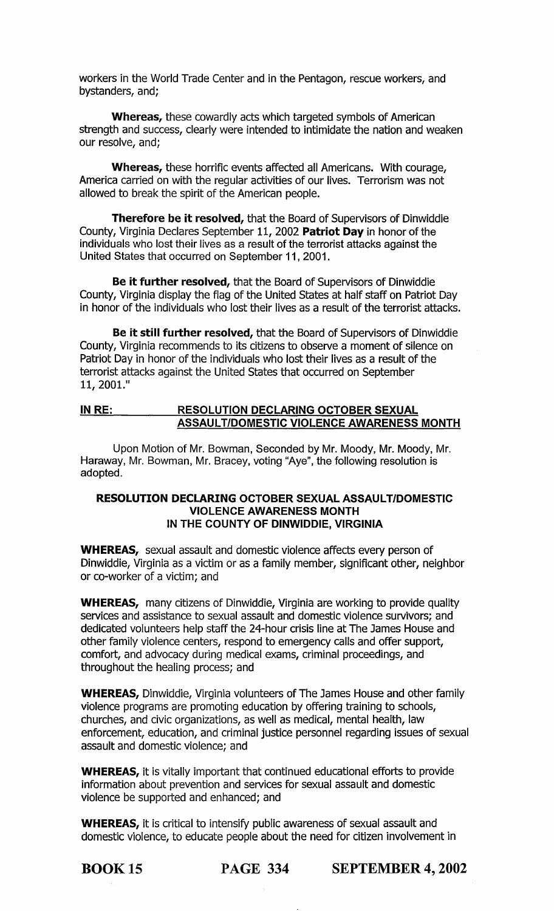workers in the World Trade Center and in the Pentagon, rescue workers, and bystanders, and;

Whereas, these cowardly acts which targeted symbols of American strength and success, clearly were intended to intimidate the nation and weaken our resolve, and;

Whereas, these horrific events affected all Americans. With courage, America carried on with the regular activities of our lives. Terrorism was not allowed to break the spirit of the American people.

Therefore be it resolved, that the Board of Supervisors of Dinwiddie County, Virginia Declares September 11, 2002 Patriot Day in honor of the individuals who lost their lives as a result of the terrorist attacks against the United States that occurred on September 11, 2001.

Be it further resolved, that the Board of Supervisors of Dinwiddie County, Virginia display the flag of the United States at half staff on Patriot Day in honor of the individuals who lost their lives as a result of the terrorist attacks.

Be it still further resolved, that the Board of Supervisors of Dinwiddie County, Virginia recommends to its citizens to observe a moment of silence on Patriot Day in honor of the individuals who lost their lives as a result of the terrorist attacks against the United States that occurred on September 11, 2001."

# IN RE: RESOLUTION DECLARING OCTOBER SEXUAL ASSAULT/DOMESTIC VIOLENCE AWARENESS MONTH

Upon Motion of Mr. Bowman, Seconded by Mr. Moody, Mr. Moody, Mr. Haraway, Mr. Bowman, Mr. Bracey, voting "Aye", the following resolution is adopted.

## RESOLUTION DECLARING OCTOBER SEXUAL ASSAUL T/DOMESTIC VIOLENCE AWARENESS MONTH IN THE COUNTY OF DINWIDDIE, VIRGINIA

WHEREAS, sexual assault and domestic violence affects every person of Dinwiddie, Virginia as a victim or as a family member, significant other, neighbor or co-worker of a victim; and

WHEREAS, many citizens of Dinwiddie, Virginia are working to provide quality services and assistance to sexual assault and domestic violence survivors; and dedicated volunteers help staff the 24-hour crisis line at The James House and other family violence centers, respond to emergency calls and offer support, comfort, and advocacy during medical exams, criminal proceedings, and throughout the healing process; and

WHEREAS, Dinwiddie, Virginia volunteers of The James House and other family violence programs are promoting education by offering training to schools, churches, and civic organizations, as well as medical, mental health, law enforcement, education, and criminal justice personnel regarding issues of sexual assault and domestic violence; and

WHEREAS, it is vitally important that continued educational efforts to provide information about prevention and services for sexual assault and domestic violence be supported and enhanced; and

WHEREAS, it is critical to intensify public awareness of sexual assault and domestic violence, to educate people about the need for citizen involvement in

BOOK 15 PAGE 334 SEPTEMBER 4, 2002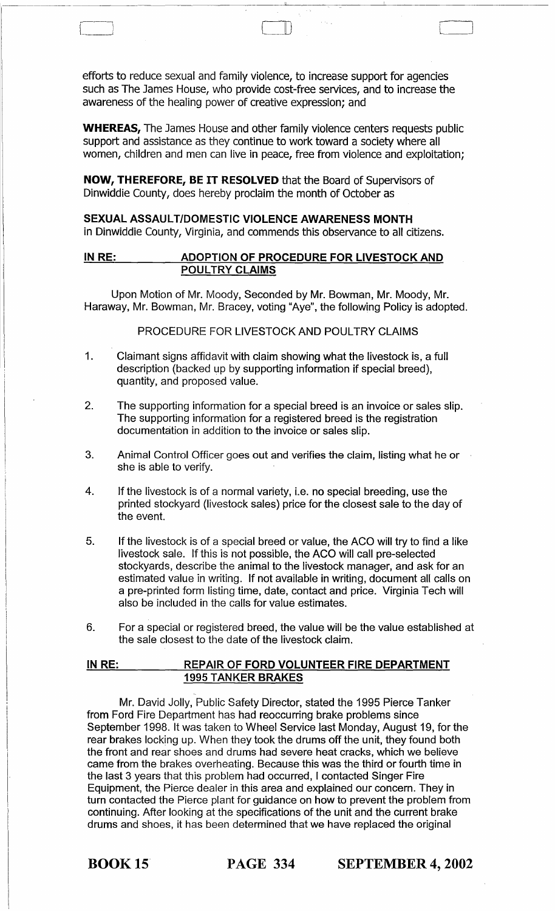efforts to reduce sexual and family violence, to increase support for agencies such as The James House, who provide cost-free services, and to increase the awareness of the healing power of creative expression; and

 $\Box$ 

WHEREAS, The James House and other family violence centers requests public support and assistance as they continue to work toward a society where all women, children and men can live in peace, free from violence and exploitation;

NOW, THEREFORE, BE IT RESOLVED that the Board of Supervisors of Dinwiddie County, does hereby proclaim the month of October as

SEXUAL ASSAULT/DOMESTIC VIOLENCE AWARENESS MONTH in Dinwiddie County, Virginia, and commends this observance to all citizens.

# IN RE: ADOPTION OF PROCEDURE FOR LIVESTOCK AND POULTRY CLAIMS

Upon Motion of Mr. Moody, Seconded by Mr. Bowman, Mr. Moody, Mr. Haraway, Mr. Bowman, Mr. Bracey, voting "Aye", the following Policy is adopted.

## PROCEDURE FOR LIVESTOCK AND POULTRY CLAIMS

- 1. Claimant signs affidavit with claim showing what the livestock is, a full description (backed up by supporting information if special breed), quantity, and proposed value.
- 2. The supporting information for a special breed is an invoice or sales slip. The supporting information for a registered breed is the registration documentation in addition to the invoice or sales slip.
- 3. Animal Control Officer goes out and verifies the claim, listing what he or she is able to verify.
- 4. If the livestock is of a normal variety, i.e. no special breeding, use the printed stockyard (livestock sales) price for the closest sale to the day of the event.
- 5. If the livestock is of a special breed or value, the ACO will try to find a like livestock sale. If this is not possible, the ACO will call pre-selected stockyards, describe the animal to the livestock manager, and ask for an estimated value in writing. If not available in writing, document all calls on a pre-printed form listing time, date, contact and price. Virginia Tech will also be included in the calls for value estimates.
- 6. For a special or registered breed, the value will be the value established at the sale closest to the date of the livestock claim.

## IN RE: REPAIR OF FORD VOLUNTEER FIRE DEPARTMENT 1995 TANKER BRAKES

Mr. David Jolly, Public Safety Director, stated the 1995 Pierce Tanker from Ford Fire Department has had reoccurring brake problems since September 1998. It was taken to Wheel Service last Monday, August 19, for the rear brakes locking up. When they took the drums off the unit, they found both the front and rear shoes and drums had severe heat cracks, which we believe came from the brakes overheating. Because this was the third or fourth time in the last 3 years that this problem had occurred, I contacted Singer Fire Equipment, the Pierce dealer in this area and explained our concern. They in turn contacted the Pierce plant for guidance on how to prevent the problem from continuing. After looking at the specifications of the unit and the current brake drums and shoes, it has been determined that we have replaced the original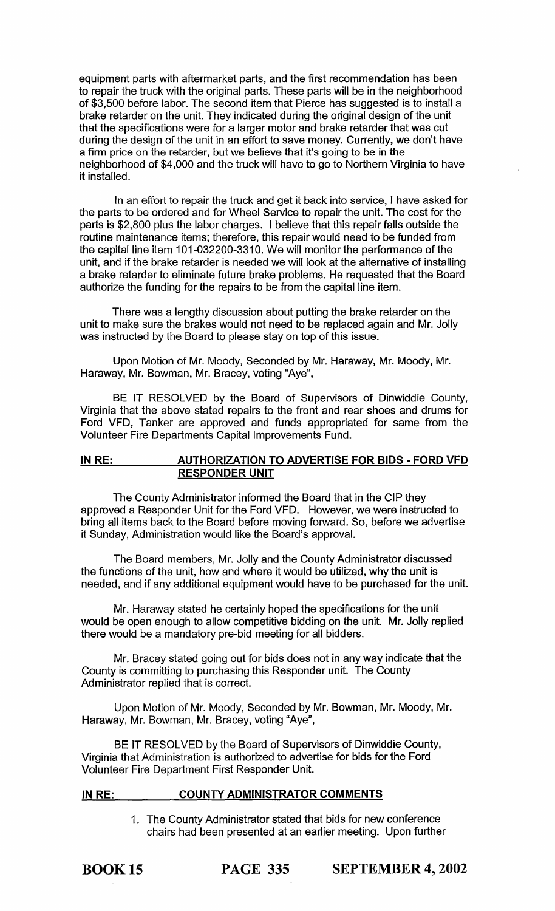equipment parts with aftermarket parts, and the first recommendation has been to repair the truck with the original parts. These parts will be in the neighborhood of \$3,500 before labor. The second item that Pierce has suggested is to install a brake retarder on the unit. They indicated during the original design of the unit that the specifications were for a larger motor and brake retarder that was cut during the design of the unit in an effort to save money. Currently, we don't have a firm price on the retarder, but we believe that it's going to be in the neighborhood of \$4,000 and the truck will have to go to Northern Virginia to have it installed.

In an effort to repair the truck and get it back into service, I have asked for the parts to be ordered and for Wheel Service to repair the unit. The cost for the parts is \$2,800 plus the labor charges. I believe that this repair falls outside the routine maintenance items; therefore, this repair would need to be funded from the capital line item 101-032200-3310. We will monitor the performance of the unit, and if the brake retarder is needed we will look at the alternative of installing a brake retarder to eliminate future brake problems. He requested that the Board authorize the funding for the repairs to be from the capital line item.

There was a lengthy discussion about putting the brake retarder on the unit to make sure the brakes would not need to be replaced again and Mr. Jolly was instructed by the Board to please stay on top of this issue.

Upon Motion of Mr. Moody, Seconded by Mr. Haraway, Mr. Moody, Mr. Haraway, Mr. Bowman, Mr. Bracey, voting "Aye",

BE IT RESOLVED by the Board of Supervisors of Dinwiddie County, Virginia that the above stated repairs to the front and rear shoes and drums for Ford VFD, Tanker are approved and funds appropriated for same from the Volunteer Fire Departments Capital Improvements Fund.

# IN RE: AUTHORIZATION TO ADVERTISE FOR BIDS - FORD VFD RESPONDER UNIT

The County Administrator informed the Board that in the CIP they approved a Responder Unit for the Ford VFD. However, we were instructed to bring all items back to the Board before moving forward. So, before we advertise it Sunday, Administration would like the Board's approval.

The Board members, Mr. Jolly and the County Administrator discussed the functions of the unit, how and where it would be utilized, why the unit is needed, and if any additional equipment would have to be purchased for the unit.

Mr. Haraway stated he certainly hoped the specifications for the unit would be open enough to allow competitive bidding on the unit. Mr. Jolly replied there would be a mandatory pre-bid meeting for all bidders.

Mr. Bracey stated going out for bids does not in any way indicate that the County is committing to purchasing this Responder unit. The County Administrator replied that is correct.

Upon Motion of Mr. Moody, Seconded by Mr. Bowman, Mr. Moody, Mr. Haraway, Mr. Bowman, Mr. Bracey, voting "Aye",

BE IT RESOLVED by the Board of Supervisors of Dinwiddie County, Virginia that Administration is authorized to advertise for bids for the Ford Volunteer Fire Department First Responder Unit.

### IN RE: COUNTY ADMINISTRATOR COMMENTS

1. The County Administrator stated that bids for new conference chairs had been presented at an earlier meeting. Upon further

BOOK 15 PAGE 335 SEPTEMBER 4, 2002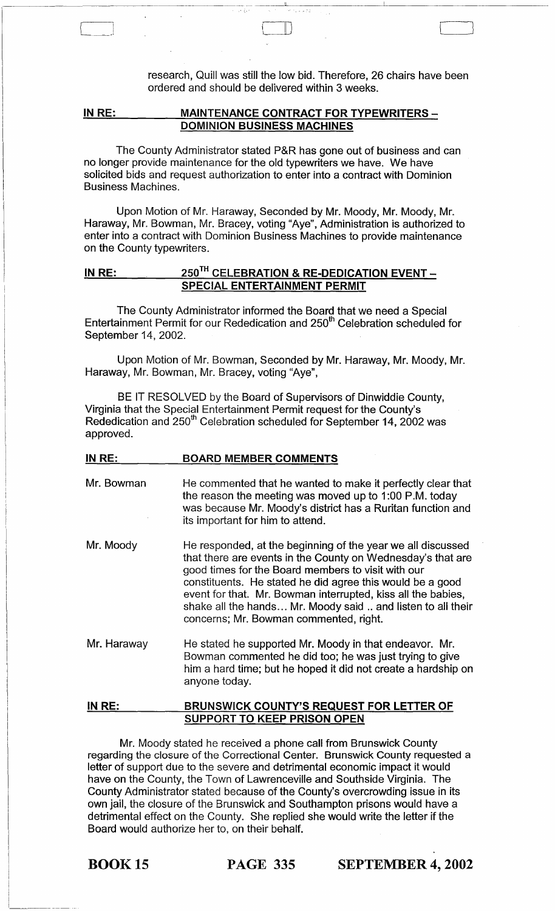research, Quill was still the low bid. Therefore, 26 chairs have been ordered and should be delivered within 3 weeks.

 $\Box$ 

#### IN RE: MAINTENANCE CONTRACT FOR TYPEWRITERS -DOMINION BUSINESS MACHINES

 $\begin{array}{|c|c|} \hline \quad \quad & \quad \quad \\ \hline \quad \quad & \quad \quad \\ \hline \quad \quad & \quad \quad \\ \hline \quad \quad & \quad \quad \\ \hline \quad \quad & \quad \quad \\ \hline \end{array}$ 

The County Administrator stated P&R has gone out of business and can no longer provide maintenance for the old typewriters we have. We have solicited bids and request authorization to enter into a contract with Dominion Business Machines.

Upon Motion of Mr. Haraway, Seconded by Mr. Moody, Mr. Moody, Mr. Haraway, Mr. Bowman, Mr. Bracey, voting "Aye", Administration is authorized to enter into a contract with Dominion Business Machines to provide maintenance on the County typewriters.

# IN RE:  $250^{TH}$  CELEBRATION & RE-DEDICATION EVENT -SPECIAL ENTERTAINMENT PERMIT

The County Administrator informed the Board that we need a Special Entertainment Permit for our Rededication and 250<sup>th</sup> Celebration scheduled for September 14, 2002.

Upon Motion of Mr. Bowman, Seconded by Mr. Haraway, Mr. Moody, Mr. Haraway, Mr. Bowman, Mr. Bracey, voting "Aye",

BE IT RESOLVED by the Board of Supervisors of Dinwiddie County, Virginia that the Special Entertainment Permit request for the County's Rededication and 250<sup>th</sup> Celebration scheduled for September 14, 2002 was approved.

| IN RE:      | <b>BOARD MEMBER COMMENTS</b>                                                                                                                                                                                                                                                                                                                                                                                           |
|-------------|------------------------------------------------------------------------------------------------------------------------------------------------------------------------------------------------------------------------------------------------------------------------------------------------------------------------------------------------------------------------------------------------------------------------|
| Mr. Bowman  | He commented that he wanted to make it perfectly clear that<br>the reason the meeting was moved up to 1:00 P.M. today<br>was because Mr. Moody's district has a Ruritan function and<br>its important for him to attend.                                                                                                                                                                                               |
| Mr. Moody   | He responded, at the beginning of the year we all discussed<br>that there are events in the County on Wednesday's that are<br>good times for the Board members to visit with our<br>constituents. He stated he did agree this would be a good<br>event for that. Mr. Bowman interrupted, kiss all the babies,<br>shake all the hands Mr. Moody said  and listen to all their<br>concerns; Mr. Bowman commented, right. |
| Mr. Haraway | He stated he supported Mr. Moody in that endeavor. Mr.<br>Bowman commented he did too; he was just trying to give<br>him a hard time; but he hoped it did not create a hardship on<br>anyone today.                                                                                                                                                                                                                    |
| IN RE:      | <b>BRUNSWICK COUNTY'S REQUEST FOR LETTER OF</b>                                                                                                                                                                                                                                                                                                                                                                        |

Mr. Moody stated he received a phone call from Brunswick County regarding the closure of the Correctional Center. Brunswick County requested a letter of support due to the severe and detrimental economic impact it would have on the County, the Town of Lawrenceville and Southside Virginia. The County Administrator stated because of the County's overcrowding issue in its own jail, the closure of the Brunswick and Southampton prisons would have a detrimental effect on the County. She replied she would write the letter if the Board would authorize her to, on their behalf.

SUPPORT TO KEEP PRISON OPEN

BOOK 15 PAGE 335 SEPTEMBER 4, 2002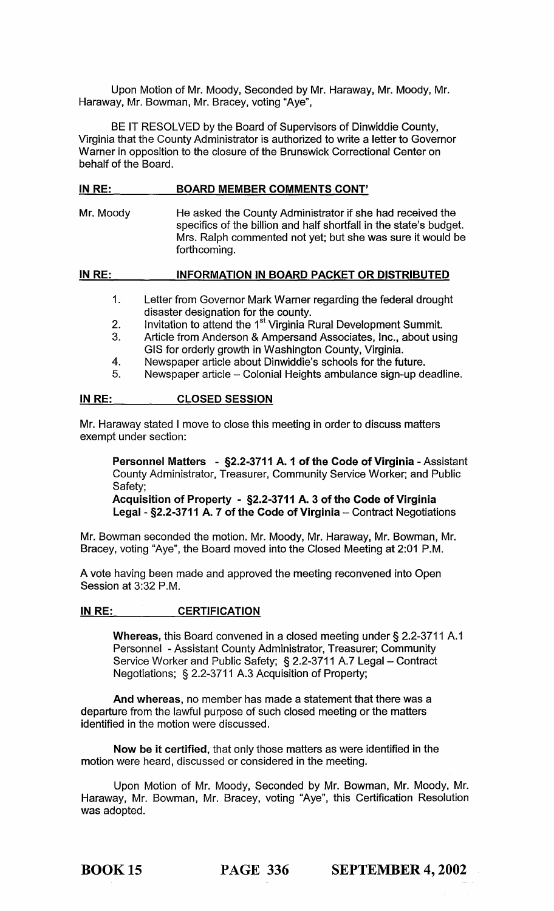Upon Motion of Mr. Moody, Seconded by Mr. Haraway, Mr. Moody, Mr. Haraway, Mr. Bowman, Mr. Bracey, voting "Aye",

BE IT RESOLVED by the Board of Supervisors of Dinwiddie County, Virginia that the County Administrator is authorized to write a letter to Governor Warner in opposition to the closure of the Brunswick Correctional Center on behalf of the Board.

## IN RE: BOARD MEMBER COMMENTS CONT'

Mr. Moody He asked the County Administrator if she had received the specifics of the billion and half shortfall in the state's budget. Mrs. Ralph commented not yet; but she was sure it would be forthcoming.

IN RE: INFORMATION IN BOARD PACKET OR DISTRIBUTED

- 1. Letter from Governor Mark Warner regarding the federal drought disaster designation for the county.
- 2. Invitation to attend the 1<sup>st</sup> Virginia Rural Development Summit.
- 3. Article from Anderson & Ampersand Associates, Inc., about using GIS for orderly growth in Washington County, Virginia.
- 4. Newspaper article about Dinwiddie's schools for the future.
- 5. Newspaper article Colonial Heights ambulance sign-up deadline.

## IN RE: CLOSED SESSION

Mr. Haraway stated I move to close this meeting in order to discuss matters exempt under section:

Personnel Matters - §2.2-3711 A. 1 of the Code of Virginia - Assistant County Administrator, Treasurer, Community Service Worker; and Public Safety;

Acquisition of Property - §2.2-3711 A. 3 of the Code of Virginia Legal - §2.2-3711 A. 7 of the Code of Virginia - Contract Negotiations

Mr. Bowman seconded the motion. Mr. Moody, Mr. Haraway, Mr. Bowman, Mr. Bracey, voting "Aye", the Board moved into the Closed Meeting at 2:01 P.M.

A vote having been made and approved the meeting reconvened into Open Session at 3:32 P.M.

#### IN RE: CERTIFICATION

Whereas, this Board convened in a closed meeting under § 2.2-3711 A.1 Personnel - Assistant County Administrator, Treasurer; Community Service Worker and Public Safety; § 2.2-3711 A.7 Legal - Contract Negotiations; § 2.2-3711 A.3 Acquisition of Property;

And whereas, no member has made a statement that there was a departure from the lawful purpose of such closed meeting or the matters identified in the motion were discussed.

Now be it certified, that only those matters as were identified in the motion were heard, discussed or considered in the meeting.

Upon Motion of Mr. Moody, Seconded by Mr. Bowman, Mr. Moody, Mr. Haraway, Mr. Bowman, Mr. Bracey, voting "Aye", this Certification Resolution was adopted.